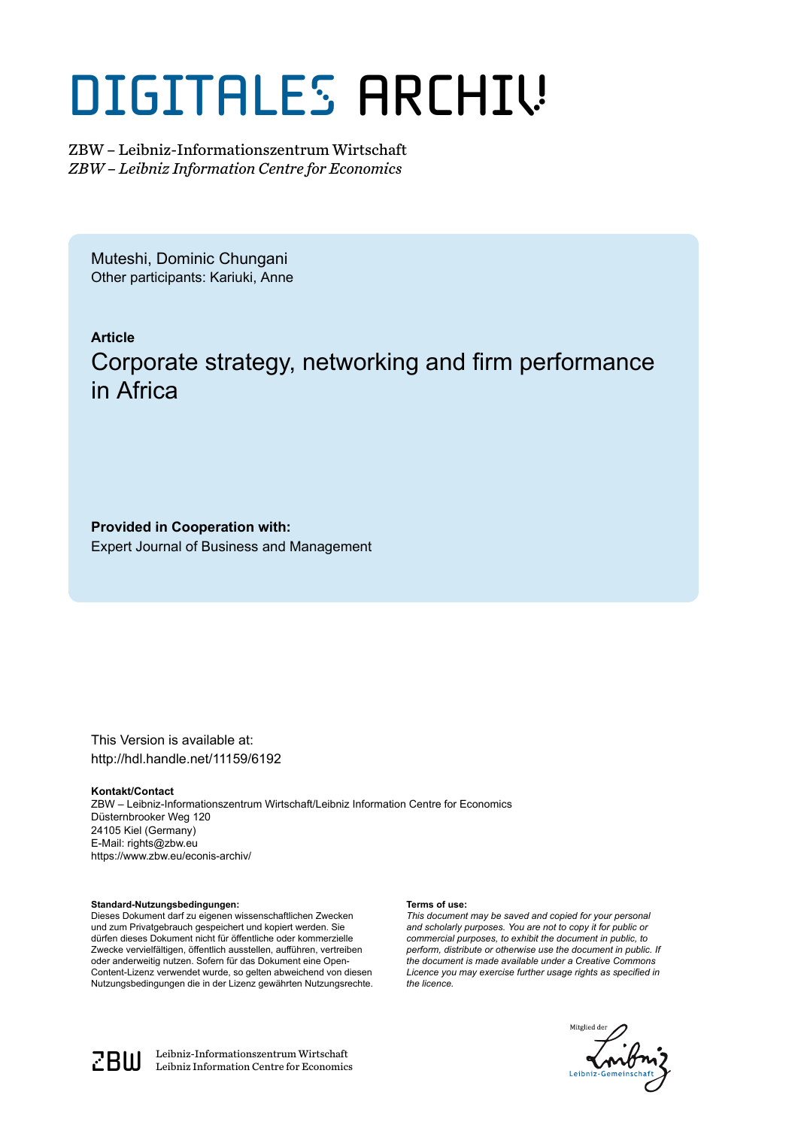# DIGITALES ARCHIV

ZBW – Leibniz-Informationszentrum Wirtschaft *ZBW – Leibniz Information Centre for Economics*

Muteshi, Dominic Chungani Other participants: Kariuki, Anne

### **Article** Corporate strategy, networking and firm performance in Africa

**Provided in Cooperation with:** Expert Journal of Business and Management

This Version is available at: http://hdl.handle.net/11159/6192

#### **Kontakt/Contact**

ZBW – Leibniz-Informationszentrum Wirtschaft/Leibniz Information Centre for Economics Düsternbrooker Weg 120 24105 Kiel (Germany) E-Mail: rights@zbw.eu https://www.zbw.eu/econis-archiv/

#### **Standard-Nutzungsbedingungen:**

Dieses Dokument darf zu eigenen wissenschaftlichen Zwecken und zum Privatgebrauch gespeichert und kopiert werden. Sie dürfen dieses Dokument nicht für öffentliche oder kommerzielle Zwecke vervielfältigen, öffentlich ausstellen, aufführen, vertreiben oder anderweitig nutzen. Sofern für das Dokument eine Open-Content-Lizenz verwendet wurde, so gelten abweichend von diesen Nutzungsbedingungen die in der Lizenz gewährten Nutzungsrechte.

#### **Terms of use:**

*This document may be saved and copied for your personal and scholarly purposes. You are not to copy it for public or commercial purposes, to exhibit the document in public, to perform, distribute or otherwise use the document in public. If the document is made available under a Creative Commons Licence you may exercise further usage rights as specified in the licence.*





 $\mathbb{Z} \text{B} \text{U}$  Leibniz-Informationszentrum Wirtschaft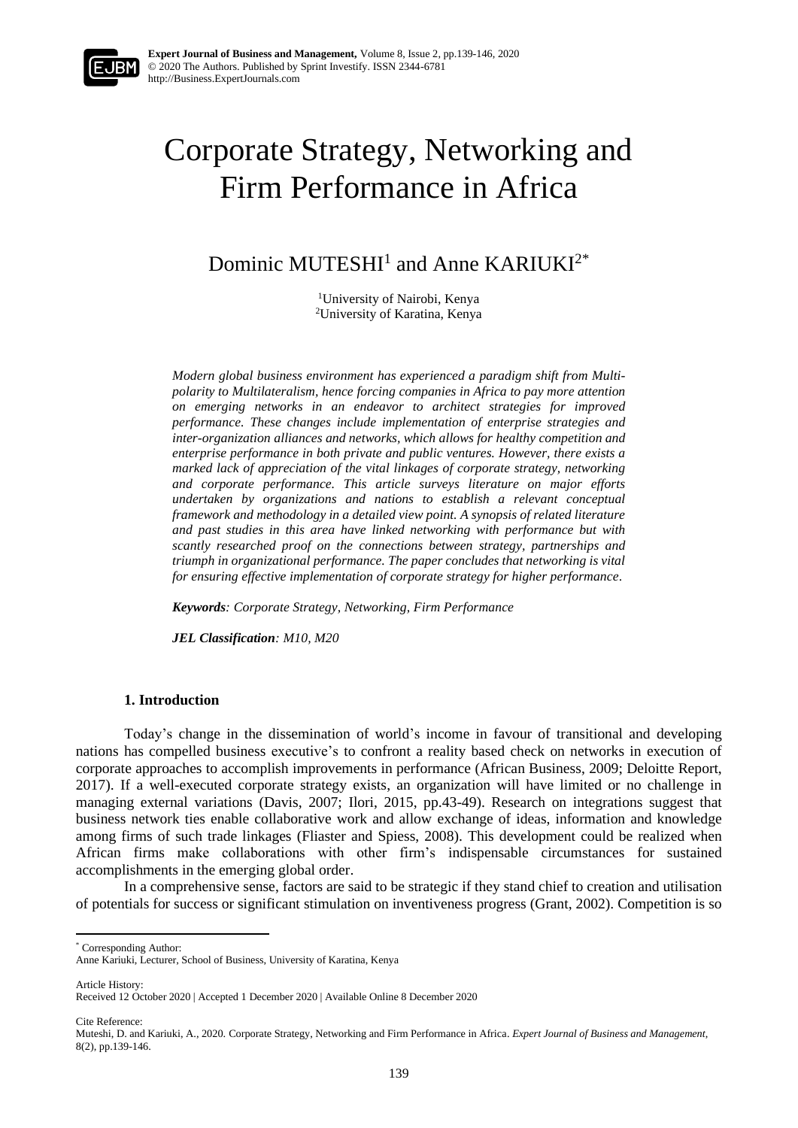## Corporate Strategy, Networking and Firm Performance in Africa

Dominic MUTESHI<sup>1</sup> and Anne KARIUKI<sup>2\*</sup>

<sup>1</sup>University of Nairobi, Kenya <sup>2</sup>University of Karatina, Kenya

*Modern global business environment has experienced a paradigm shift from Multipolarity to Multilateralism, hence forcing companies in Africa to pay more attention on emerging networks in an endeavor to architect strategies for improved performance. These changes include implementation of enterprise strategies and inter-organization alliances and networks, which allows for healthy competition and enterprise performance in both private and public ventures. However, there exists a marked lack of appreciation of the vital linkages of corporate strategy, networking and corporate performance. This article surveys literature on major efforts undertaken by organizations and nations to establish a relevant conceptual framework and methodology in a detailed view point. A synopsis of related literature and past studies in this area have linked networking with performance but with scantly researched proof on the connections between strategy, partnerships and triumph in organizational performance. The paper concludes that networking is vital for ensuring effective implementation of corporate strategy for higher performance*.

*Keywords: Corporate Strategy, Networking, Firm Performance*

*JEL Classification: M10, M20*

#### **1. Introduction**

Today's change in the dissemination of world's income in favour of transitional and developing nations has compelled business executive's to confront a reality based check on networks in execution of corporate approaches to accomplish improvements in performance (African Business, 2009; Deloitte Report, 2017). If a well-executed corporate strategy exists, an organization will have limited or no challenge in managing external variations (Davis, 2007; Ilori, 2015, pp.43-49). Research on integrations suggest that business network ties enable collaborative work and allow exchange of ideas, information and knowledge among firms of such trade linkages (Fliaster and Spiess, 2008). This development could be realized when African firms make collaborations with other firm's indispensable circumstances for sustained accomplishments in the emerging global order.

In a comprehensive sense, factors are said to be strategic if they stand chief to creation and utilisation of potentials for success or significant stimulation on inventiveness progress (Grant, 2002). Competition is so

\* Corresponding Author:

Article History: Received 12 October 2020 | Accepted 1 December 2020 | Available Online 8 December 2020

Cite Reference:

Anne Kariuki, Lecturer, School of Business, University of Karatina, Kenya

Muteshi, D. and Kariuki, A., 2020. Corporate Strategy, Networking and Firm Performance in Africa. *Expert Journal of Business and Management,* 8(2), pp.139-146.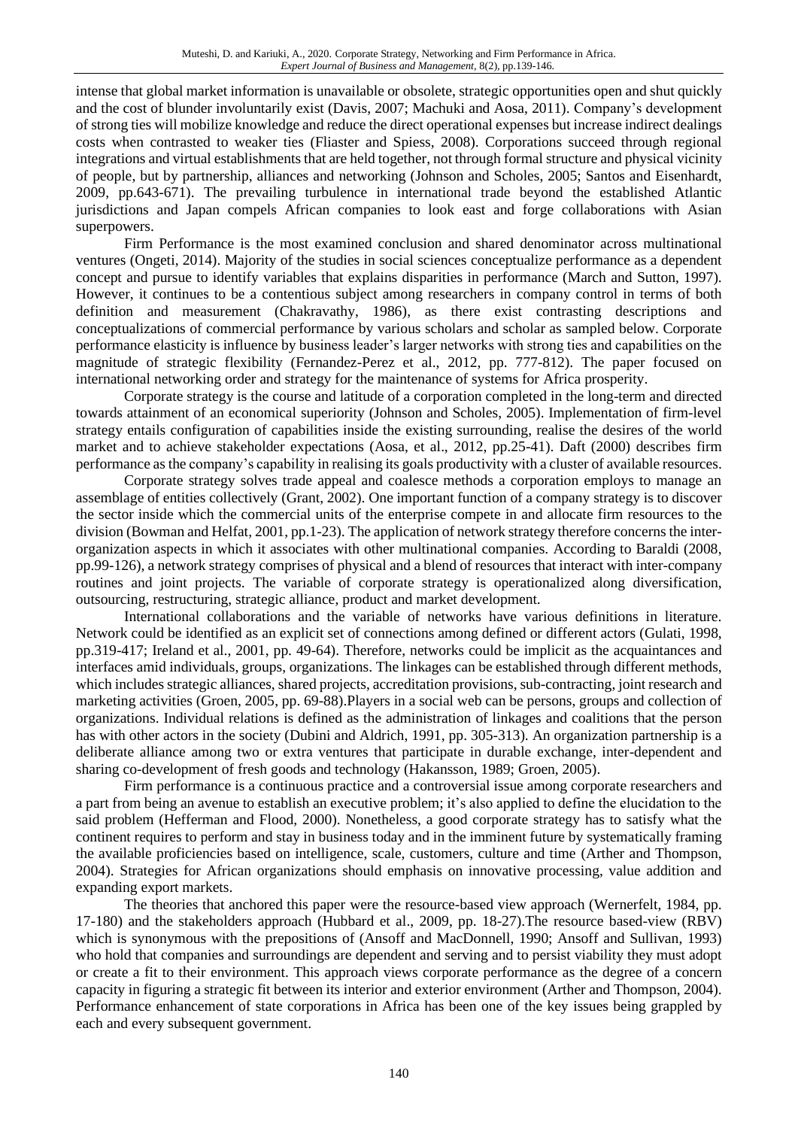intense that global market information is unavailable or obsolete, strategic opportunities open and shut quickly and the cost of blunder involuntarily exist (Davis, 2007; Machuki and Aosa, 2011). Company's development of strong ties will mobilize knowledge and reduce the direct operational expenses but increase indirect dealings costs when contrasted to weaker ties (Fliaster and Spiess, 2008). Corporations succeed through regional integrations and virtual establishments that are held together, not through formal structure and physical vicinity of people, but by partnership, alliances and networking (Johnson and Scholes, 2005; Santos and Eisenhardt, 2009, pp.643-671). The prevailing turbulence in international trade beyond the established Atlantic jurisdictions and Japan compels African companies to look east and forge collaborations with Asian superpowers.

Firm Performance is the most examined conclusion and shared denominator across multinational ventures (Ongeti, 2014). Majority of the studies in social sciences conceptualize performance as a dependent concept and pursue to identify variables that explains disparities in performance (March and Sutton, 1997). However, it continues to be a contentious subject among researchers in company control in terms of both definition and measurement (Chakravathy, 1986), as there exist contrasting descriptions and conceptualizations of commercial performance by various scholars and scholar as sampled below. Corporate performance elasticity is influence by business leader's larger networks with strong ties and capabilities on the magnitude of strategic flexibility (Fernandez-Perez et al., 2012, pp. 777-812). The paper focused on international networking order and strategy for the maintenance of systems for Africa prosperity.

Corporate strategy is the course and latitude of a corporation completed in the long-term and directed towards attainment of an economical superiority (Johnson and Scholes, 2005). Implementation of firm-level strategy entails configuration of capabilities inside the existing surrounding, realise the desires of the world market and to achieve stakeholder expectations (Aosa, et al., 2012, pp.25-41). Daft (2000) describes firm performance as the company's capability in realising its goals productivity with a cluster of available resources.

Corporate strategy solves trade appeal and coalesce methods a corporation employs to manage an assemblage of entities collectively (Grant, 2002). One important function of a company strategy is to discover the sector inside which the commercial units of the enterprise compete in and allocate firm resources to the division (Bowman and Helfat, 2001, pp.1-23). The application of network strategy therefore concerns the interorganization aspects in which it associates with other multinational companies. According to Baraldi (2008, pp.99-126), a network strategy comprises of physical and a blend of resources that interact with inter-company routines and joint projects. The variable of corporate strategy is operationalized along diversification, outsourcing, restructuring, strategic alliance, product and market development.

International collaborations and the variable of networks have various definitions in literature. Network could be identified as an explicit set of connections among defined or different actors (Gulati, 1998, pp.319-417; Ireland et al., 2001, pp. 49-64). Therefore, networks could be implicit as the acquaintances and interfaces amid individuals, groups, organizations. The linkages can be established through different methods, which includes strategic alliances, shared projects, accreditation provisions, sub-contracting, joint research and marketing activities (Groen, 2005, pp. 69-88).Players in a social web can be persons, groups and collection of organizations. Individual relations is defined as the administration of linkages and coalitions that the person has with other actors in the society (Dubini and Aldrich, 1991, pp. 305-313). An organization partnership is a deliberate alliance among two or extra ventures that participate in durable exchange, inter-dependent and sharing co-development of fresh goods and technology (Hakansson, 1989; Groen, 2005).

Firm performance is a continuous practice and a controversial issue among corporate researchers and a part from being an avenue to establish an executive problem; it's also applied to define the elucidation to the said problem (Hefferman and Flood, 2000). Nonetheless, a good corporate strategy has to satisfy what the continent requires to perform and stay in business today and in the imminent future by systematically framing the available proficiencies based on intelligence, scale, customers, culture and time (Arther and Thompson, 2004). Strategies for African organizations should emphasis on innovative processing, value addition and expanding export markets.

The theories that anchored this paper were the resource-based view approach (Wernerfelt, 1984, pp. 17-180) and the stakeholders approach (Hubbard et al., 2009, pp. 18-27).The resource based-view (RBV) which is synonymous with the prepositions of (Ansoff and MacDonnell, 1990; Ansoff and Sullivan, 1993) who hold that companies and surroundings are dependent and serving and to persist viability they must adopt or create a fit to their environment. This approach views corporate performance as the degree of a concern capacity in figuring a strategic fit between its interior and exterior environment (Arther and Thompson, 2004). Performance enhancement of state corporations in Africa has been one of the key issues being grappled by each and every subsequent government.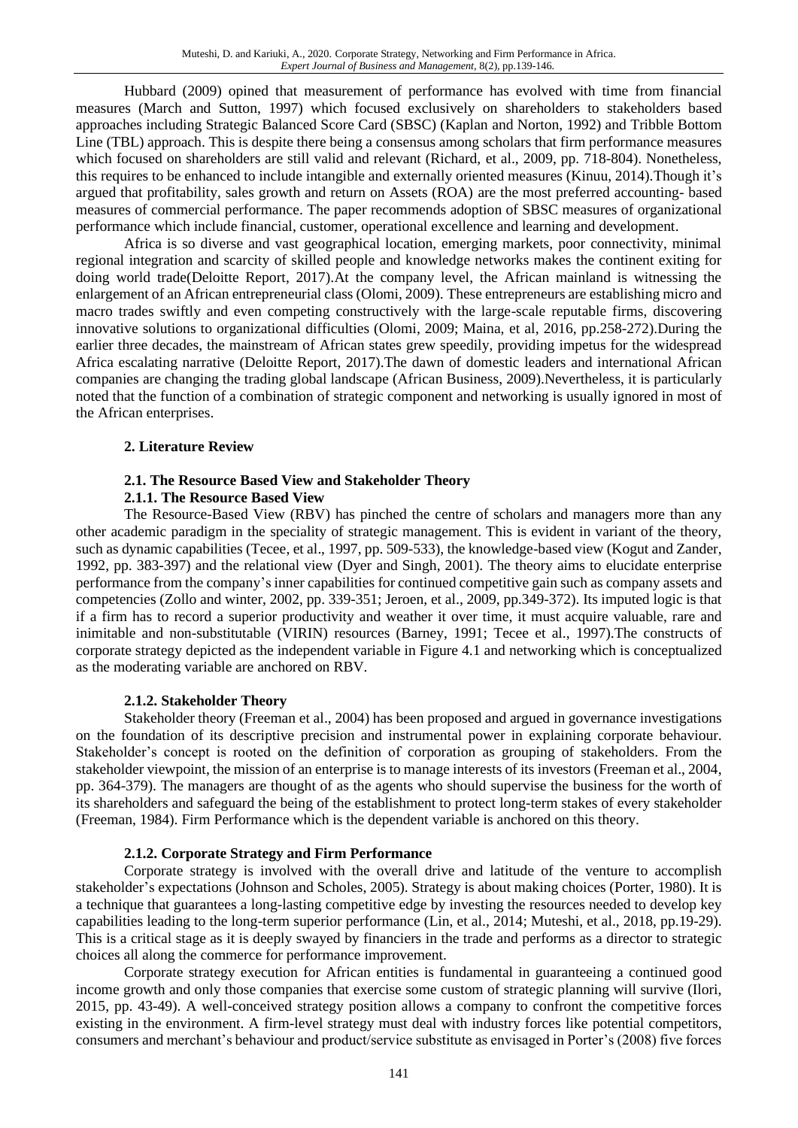Hubbard (2009) opined that measurement of performance has evolved with time from financial measures (March and Sutton, 1997) which focused exclusively on shareholders to stakeholders based approaches including Strategic Balanced Score Card (SBSC) (Kaplan and Norton, 1992) and Tribble Bottom Line (TBL) approach. This is despite there being a consensus among scholars that firm performance measures which focused on shareholders are still valid and relevant (Richard, et al., 2009, pp. 718-804). Nonetheless, this requires to be enhanced to include intangible and externally oriented measures (Kinuu, 2014).Though it's argued that profitability, sales growth and return on Assets (ROA) are the most preferred accounting- based measures of commercial performance. The paper recommends adoption of SBSC measures of organizational performance which include financial, customer, operational excellence and learning and development.

Africa is so diverse and vast geographical location, emerging markets, poor connectivity, minimal regional integration and scarcity of skilled people and knowledge networks makes the continent exiting for doing world trade(Deloitte Report, 2017).At the company level, the African mainland is witnessing the enlargement of an African entrepreneurial class (Olomi, 2009). These entrepreneurs are establishing micro and macro trades swiftly and even competing constructively with the large-scale reputable firms, discovering innovative solutions to organizational difficulties (Olomi, 2009; Maina, et al, 2016, pp.258-272).During the earlier three decades, the mainstream of African states grew speedily, providing impetus for the widespread Africa escalating narrative (Deloitte Report, 2017).The dawn of domestic leaders and international African companies are changing the trading global landscape (African Business, 2009).Nevertheless, it is particularly noted that the function of a combination of strategic component and networking is usually ignored in most of the African enterprises.

#### **2. Literature Review**

#### **2.1. The Resource Based View and Stakeholder Theory**

#### **2.1.1. The Resource Based View**

The Resource-Based View (RBV) has pinched the centre of scholars and managers more than any other academic paradigm in the speciality of strategic management. This is evident in variant of the theory, such as dynamic capabilities (Tecee, et al., 1997, pp. 509-533), the knowledge-based view (Kogut and Zander, 1992, pp. 383-397) and the relational view (Dyer and Singh, 2001). The theory aims to elucidate enterprise performance from the company's inner capabilities for continued competitive gain such as company assets and competencies (Zollo and winter, 2002, pp. 339-351; Jeroen, et al., 2009, pp.349-372). Its imputed logic is that if a firm has to record a superior productivity and weather it over time, it must acquire valuable, rare and inimitable and non-substitutable (VIRIN) resources (Barney, 1991; Tecee et al., 1997).The constructs of corporate strategy depicted as the independent variable in Figure 4.1 and networking which is conceptualized as the moderating variable are anchored on RBV.

#### **2.1.2. Stakeholder Theory**

Stakeholder theory (Freeman et al., 2004) has been proposed and argued in governance investigations on the foundation of its descriptive precision and instrumental power in explaining corporate behaviour. Stakeholder's concept is rooted on the definition of corporation as grouping of stakeholders. From the stakeholder viewpoint, the mission of an enterprise is to manage interests of its investors (Freeman et al., 2004, pp. 364-379). The managers are thought of as the agents who should supervise the business for the worth of its shareholders and safeguard the being of the establishment to protect long-term stakes of every stakeholder (Freeman, 1984). Firm Performance which is the dependent variable is anchored on this theory.

#### **2.1.2. Corporate Strategy and Firm Performance**

Corporate strategy is involved with the overall drive and latitude of the venture to accomplish stakeholder's expectations (Johnson and Scholes, 2005). Strategy is about making choices (Porter, 1980). It is a technique that guarantees a long-lasting competitive edge by investing the resources needed to develop key capabilities leading to the long-term superior performance (Lin, et al., 2014; Muteshi, et al., 2018, pp.19-29). This is a critical stage as it is deeply swayed by financiers in the trade and performs as a director to strategic choices all along the commerce for performance improvement.

Corporate strategy execution for African entities is fundamental in guaranteeing a continued good income growth and only those companies that exercise some custom of strategic planning will survive (Ilori, 2015, pp. 43-49). A well-conceived strategy position allows a company to confront the competitive forces existing in the environment. A firm-level strategy must deal with industry forces like potential competitors, consumers and merchant's behaviour and product/service substitute as envisaged in Porter's (2008) five forces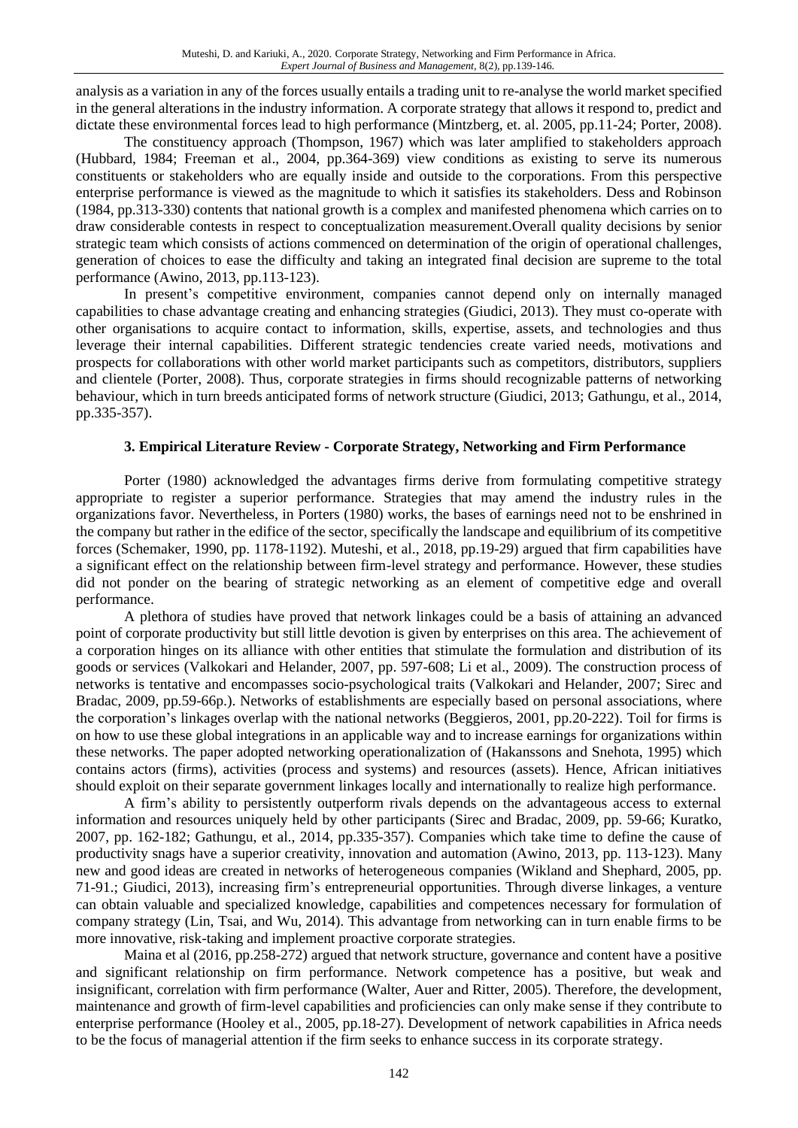analysis as a variation in any of the forces usually entails a trading unit to re-analyse the world market specified in the general alterations in the industry information. A corporate strategy that allows it respond to, predict and dictate these environmental forces lead to high performance (Mintzberg, et. al. 2005, pp.11-24; Porter, 2008).

The constituency approach (Thompson, 1967) which was later amplified to stakeholders approach (Hubbard, 1984; Freeman et al., 2004, pp.364-369) view conditions as existing to serve its numerous constituents or stakeholders who are equally inside and outside to the corporations. From this perspective enterprise performance is viewed as the magnitude to which it satisfies its stakeholders. Dess and Robinson (1984, pp.313-330) contents that national growth is a complex and manifested phenomena which carries on to draw considerable contests in respect to conceptualization measurement.Overall quality decisions by senior strategic team which consists of actions commenced on determination of the origin of operational challenges, generation of choices to ease the difficulty and taking an integrated final decision are supreme to the total performance (Awino, 2013, pp.113-123).

In present's competitive environment, companies cannot depend only on internally managed capabilities to chase advantage creating and enhancing strategies (Giudici, 2013). They must co-operate with other organisations to acquire contact to information, skills, expertise, assets, and technologies and thus leverage their internal capabilities. Different strategic tendencies create varied needs, motivations and prospects for collaborations with other world market participants such as competitors, distributors, suppliers and clientele (Porter, 2008). Thus, corporate strategies in firms should recognizable patterns of networking behaviour, which in turn breeds anticipated forms of network structure (Giudici, 2013; Gathungu, et al., 2014, pp.335-357).

#### **3. Empirical Literature Review - Corporate Strategy, Networking and Firm Performance**

Porter (1980) acknowledged the advantages firms derive from formulating competitive strategy appropriate to register a superior performance. Strategies that may amend the industry rules in the organizations favor. Nevertheless, in Porters (1980) works, the bases of earnings need not to be enshrined in the company but rather in the edifice of the sector, specifically the landscape and equilibrium of its competitive forces (Schemaker, 1990, pp. 1178-1192). Muteshi, et al., 2018, pp.19-29) argued that firm capabilities have a significant effect on the relationship between firm-level strategy and performance. However, these studies did not ponder on the bearing of strategic networking as an element of competitive edge and overall performance.

A plethora of studies have proved that network linkages could be a basis of attaining an advanced point of corporate productivity but still little devotion is given by enterprises on this area. The achievement of a corporation hinges on its alliance with other entities that stimulate the formulation and distribution of its goods or services (Valkokari and Helander, 2007, pp. 597-608; Li et al., 2009). The construction process of networks is tentative and encompasses socio-psychological traits (Valkokari and Helander, 2007; Sirec and Bradac, 2009, pp.59-66p.). Networks of establishments are especially based on personal associations, where the corporation's linkages overlap with the national networks (Beggieros, 2001, pp.20-222). Toil for firms is on how to use these global integrations in an applicable way and to increase earnings for organizations within these networks. The paper adopted networking operationalization of (Hakanssons and Snehota, 1995) which contains actors (firms), activities (process and systems) and resources (assets). Hence, African initiatives should exploit on their separate government linkages locally and internationally to realize high performance.

A firm's ability to persistently outperform rivals depends on the advantageous access to external information and resources uniquely held by other participants (Sirec and Bradac, 2009, pp. 59-66; Kuratko, 2007, pp. 162-182; Gathungu, et al., 2014, pp.335-357). Companies which take time to define the cause of productivity snags have a superior creativity, innovation and automation (Awino, 2013, pp. 113-123). Many new and good ideas are created in networks of heterogeneous companies (Wikland and Shephard, 2005, pp. 71-91.; Giudici, 2013), increasing firm's entrepreneurial opportunities. Through diverse linkages, a venture can obtain valuable and specialized knowledge, capabilities and competences necessary for formulation of company strategy (Lin, Tsai, and Wu, 2014). This advantage from networking can in turn enable firms to be more innovative, risk-taking and implement proactive corporate strategies.

Maina et al (2016, pp.258-272) argued that network structure, governance and content have a positive and significant relationship on firm performance. Network competence has a positive, but weak and insignificant, correlation with firm performance (Walter, Auer and Ritter, 2005). Therefore, the development, maintenance and growth of firm-level capabilities and proficiencies can only make sense if they contribute to enterprise performance (Hooley et al., 2005, pp.18-27). Development of network capabilities in Africa needs to be the focus of managerial attention if the firm seeks to enhance success in its corporate strategy.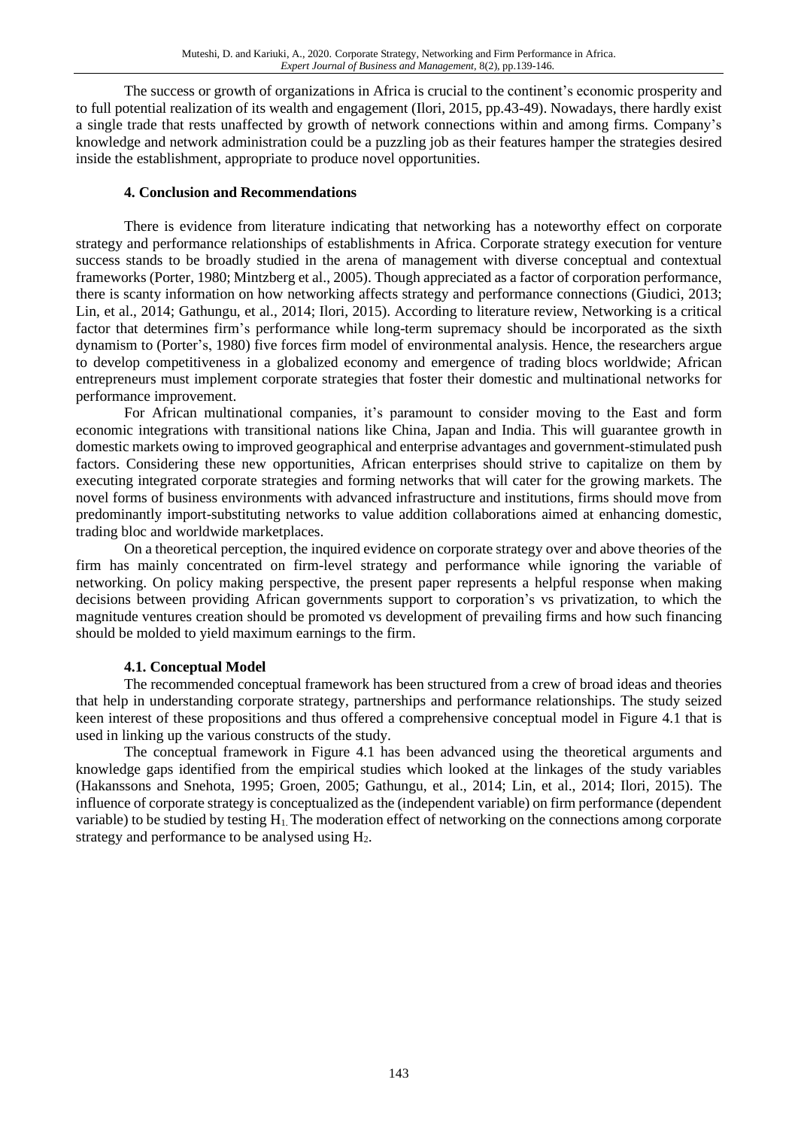The success or growth of organizations in Africa is crucial to the continent's economic prosperity and to full potential realization of its wealth and engagement (Ilori, 2015, pp.43-49). Nowadays, there hardly exist a single trade that rests unaffected by growth of network connections within and among firms. Company's knowledge and network administration could be a puzzling job as their features hamper the strategies desired inside the establishment, appropriate to produce novel opportunities.

#### **4. Conclusion and Recommendations**

There is evidence from literature indicating that networking has a noteworthy effect on corporate strategy and performance relationships of establishments in Africa. Corporate strategy execution for venture success stands to be broadly studied in the arena of management with diverse conceptual and contextual frameworks (Porter, 1980; Mintzberg et al., 2005). Though appreciated as a factor of corporation performance, there is scanty information on how networking affects strategy and performance connections (Giudici, 2013; Lin, et al., 2014; Gathungu, et al., 2014; Ilori, 2015). According to literature review, Networking is a critical factor that determines firm's performance while long-term supremacy should be incorporated as the sixth dynamism to (Porter's, 1980) five forces firm model of environmental analysis. Hence, the researchers argue to develop competitiveness in a globalized economy and emergence of trading blocs worldwide; African entrepreneurs must implement corporate strategies that foster their domestic and multinational networks for performance improvement.

For African multinational companies, it's paramount to consider moving to the East and form economic integrations with transitional nations like China, Japan and India. This will guarantee growth in domestic markets owing to improved geographical and enterprise advantages and government-stimulated push factors. Considering these new opportunities, African enterprises should strive to capitalize on them by executing integrated corporate strategies and forming networks that will cater for the growing markets. The novel forms of business environments with advanced infrastructure and institutions, firms should move from predominantly import-substituting networks to value addition collaborations aimed at enhancing domestic, trading bloc and worldwide marketplaces.

On a theoretical perception, the inquired evidence on corporate strategy over and above theories of the firm has mainly concentrated on firm-level strategy and performance while ignoring the variable of networking. On policy making perspective, the present paper represents a helpful response when making decisions between providing African governments support to corporation's vs privatization, to which the magnitude ventures creation should be promoted vs development of prevailing firms and how such financing should be molded to yield maximum earnings to the firm.

#### **4.1. Conceptual Model**

The recommended conceptual framework has been structured from a crew of broad ideas and theories that help in understanding corporate strategy, partnerships and performance relationships. The study seized keen interest of these propositions and thus offered a comprehensive conceptual model in Figure 4.1 that is used in linking up the various constructs of the study.

The conceptual framework in Figure 4.1 has been advanced using the theoretical arguments and knowledge gaps identified from the empirical studies which looked at the linkages of the study variables (Hakanssons and Snehota, 1995; Groen, 2005; Gathungu, et al., 2014; Lin, et al., 2014; Ilori, 2015). The influence of corporate strategy is conceptualized as the (independent variable) on firm performance (dependent variable) to be studied by testing H1. The moderation effect of networking on the connections among corporate strategy and performance to be analysed using H2.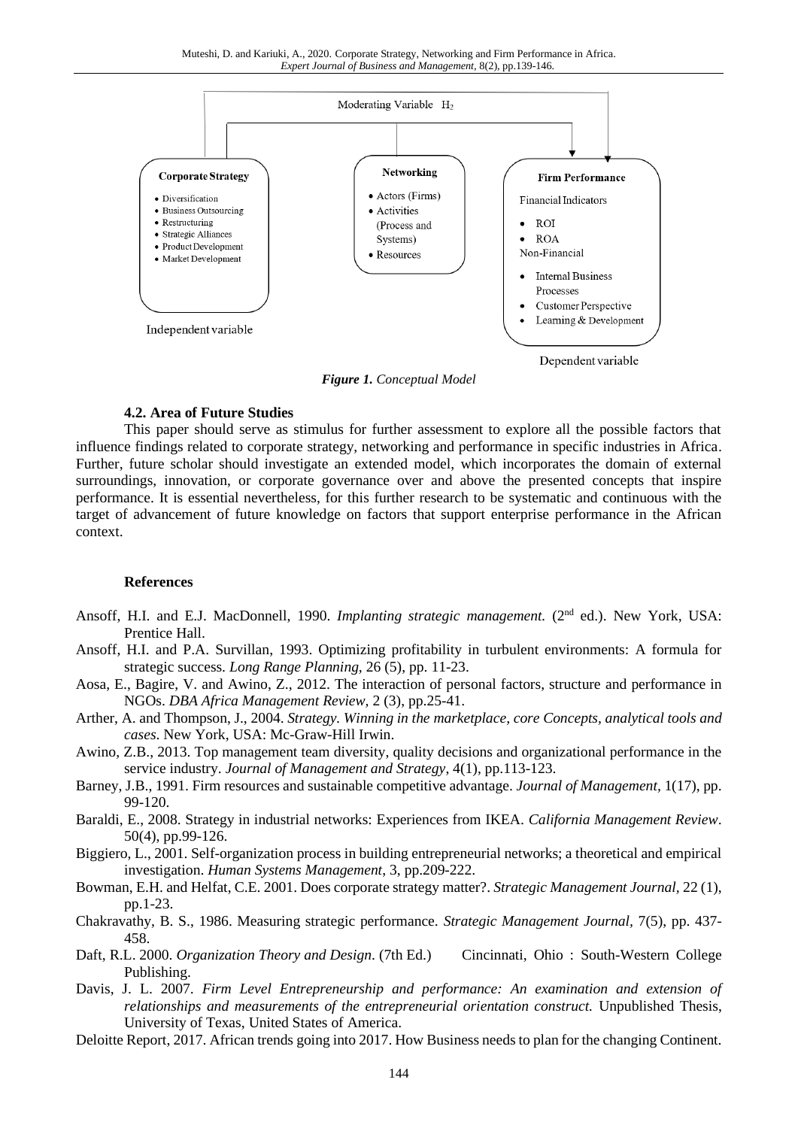Muteshi, D. and Kariuki, A., 2020. Corporate Strategy, Networking and Firm Performance in Africa. *Expert Journal of Business and Management,* 8(2), pp.139-146.



*Figure 1. Conceptual Model*

#### **4.2. Area of Future Studies**

This paper should serve as stimulus for further assessment to explore all the possible factors that influence findings related to corporate strategy, networking and performance in specific industries in Africa. Further, future scholar should investigate an extended model, which incorporates the domain of external surroundings, innovation, or corporate governance over and above the presented concepts that inspire performance. It is essential nevertheless, for this further research to be systematic and continuous with the target of advancement of future knowledge on factors that support enterprise performance in the African context.

#### **References**

- Ansoff, H.I. and E.J. MacDonnell, 1990. Implanting strategic management. (2<sup>nd</sup> ed.). New York, USA: Prentice Hall.
- Ansoff, H.I. and P.A. Survillan, 1993. Optimizing profitability in turbulent environments: A formula for strategic success. *Long Range Planning,* 26 (5), pp. 11-23.
- Aosa, E., Bagire, V. and Awino, Z., 2012. The interaction of personal factors, structure and performance in NGOs. *DBA Africa Management Review,* 2 (3), pp.25-41.
- Arther, A. and Thompson, J., 2004. *Strategy. Winning in the marketplace, core Concepts, analytical tools and cases*. New York, USA: Mc-Graw-Hill Irwin.
- Awino, Z.B., 2013. Top management team diversity, quality decisions and organizational performance in the service industry. *Journal of Management and Strategy*, 4(1), pp.113-123.
- Barney, J.B., 1991. Firm resources and sustainable competitive advantage. *Journal of Management,* 1(17), pp. 99-120.
- Baraldi, E., 2008. Strategy in industrial networks: Experiences from IKEA. *California Management Review*. 50(4), pp.99-126.
- Biggiero, L., 2001. Self-organization process in building entrepreneurial networks; a theoretical and empirical investigation. *Human Systems Management*, 3, pp.209-222.
- Bowman, E.H. and Helfat, C.E. 2001. Does corporate strategy matter?. *Strategic Management Journal,* 22 (1), pp.1-23.
- Chakravathy, B. S., 1986. Measuring strategic performance. *Strategic Management Journal,* 7(5), pp. 437- 458.
- Daft, R.L. 2000. *Organization Theory and Design*. (7th Ed.) Cincinnati, Ohio : South-Western College Publishing.
- Davis, J. L. 2007. *Firm Level Entrepreneurship and performance: An examination and extension of relationships and measurements of the entrepreneurial orientation construct.* Unpublished Thesis, University of Texas, United States of America.
- Deloitte Report, 2017. African trends going into 2017. How Business needs to plan for the changing Continent.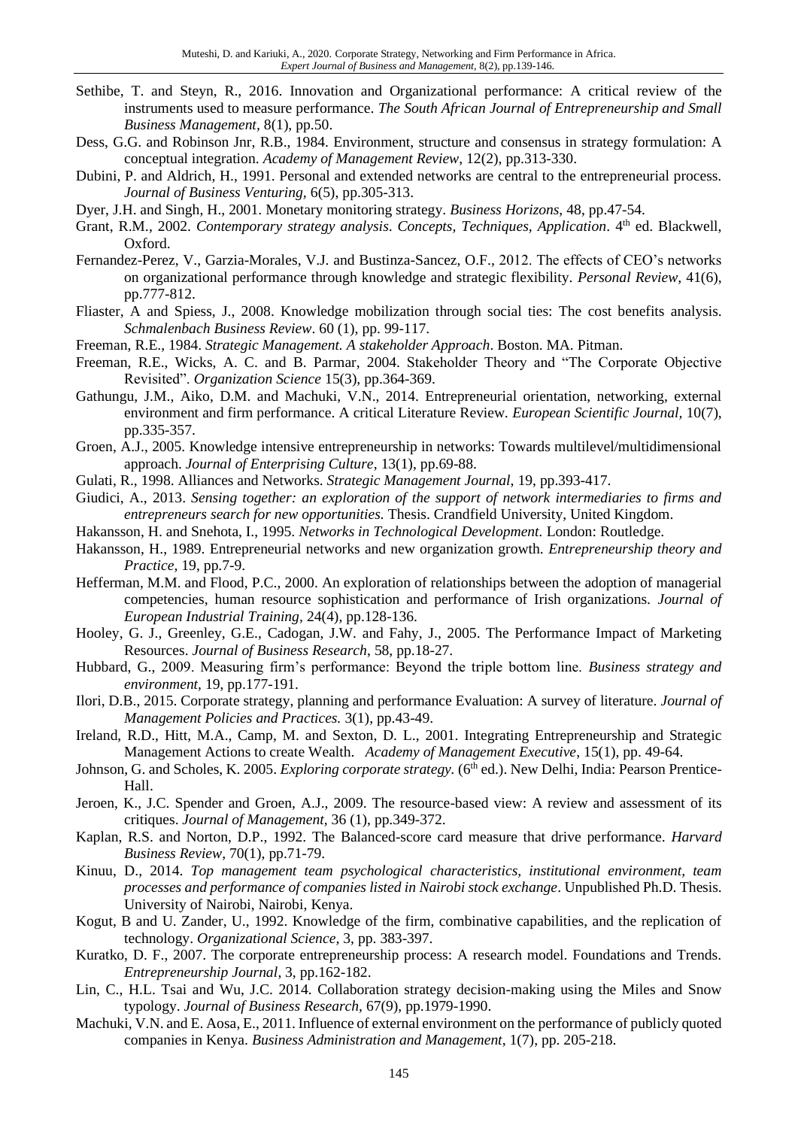- Sethibe, T. and Steyn, R., 2016. Innovation and Organizational performance: A critical review of the instruments used to measure performance. *The South African Journal of Entrepreneurship and Small Business Management,* 8(1), pp.50.
- Dess, G.G. and Robinson Jnr, R.B., 1984. Environment, structure and consensus in strategy formulation: A conceptual integration. *Academy of Management Review*, 12(2), pp.313-330.
- Dubini, P. and Aldrich, H., 1991. Personal and extended networks are central to the entrepreneurial process. *Journal of Business Venturing,* 6(5), pp.305-313.
- Dyer, J.H. and Singh, H., 2001. Monetary monitoring strategy. *Business Horizons*, 48, pp.47-54.
- Grant, R.M., 2002. *Contemporary strategy analysis. Concepts, Techniques, Application*. 4<sup>th</sup> ed. Blackwell, Oxford.
- Fernandez-Perez, V., Garzia-Morales, V.J. and Bustinza-Sancez, O.F., 2012. The effects of CEO's networks on organizational performance through knowledge and strategic flexibility. *Personal Review,* 41(6), pp.777-812.
- Fliaster, A and Spiess, J., 2008. Knowledge mobilization through social ties: The cost benefits analysis. *Schmalenbach Business Review*. 60 (1), pp. 99-117.
- Freeman, R.E., 1984. *Strategic Management. A stakeholder Approach*. Boston. MA. Pitman.
- Freeman, R.E., Wicks, A. C. and B. Parmar, 2004. Stakeholder Theory and "The Corporate Objective Revisited". *Organization Science* 15(3), pp.364-369.
- Gathungu, J.M., Aiko, D.M. and Machuki, V.N., 2014. Entrepreneurial orientation, networking, external environment and firm performance. A critical Literature Review*. European Scientific Journal,* 10(7), pp.335-357.
- Groen, A.J., 2005. Knowledge intensive entrepreneurship in networks: Towards multilevel/multidimensional approach. *Journal of Enterprising Culture*, 13(1), pp.69-88.
- Gulati, R., 1998. Alliances and Networks. *Strategic Management Journal*, 19, pp.393-417.
- Giudici, A., 2013. *Sensing together: an exploration of the support of network intermediaries to firms and entrepreneurs search for new opportunities.* Thesis. Crandfield University, United Kingdom.
- Hakansson, H. and Snehota, I., 1995. *Networks in Technological Development.* London: Routledge.
- Hakansson, H., 1989. Entrepreneurial networks and new organization growth. *Entrepreneurship theory and Practice,* 19, pp.7-9.
- Hefferman, M.M. and Flood, P.C., 2000. An exploration of relationships between the adoption of managerial competencies, human resource sophistication and performance of Irish organizations. *Journal of European Industrial Training,* 24(4), pp.128-136.
- Hooley, G. J., Greenley, G.E., Cadogan, J.W. and Fahy, J., 2005. The Performance Impact of Marketing Resources. *Journal of Business Research*, 58, pp.18-27.
- Hubbard, G., 2009. Measuring firm's performance: Beyond the triple bottom line. *Business strategy and environment,* 19, pp.177-191.
- Ilori, D.B., 2015. Corporate strategy, planning and performance Evaluation: A survey of literature. *Journal of Management Policies and Practices.* 3(1), pp.43-49.
- Ireland, R.D., Hitt, M.A., Camp, M. and Sexton, D. L., 2001. Integrating Entrepreneurship and Strategic Management Actions to create Wealth. *Academy of Management Executive*, 15(1), pp. 49-64.
- Johnson, G. and Scholes, K. 2005. *Exploring corporate strategy.* (6<sup>th</sup> ed.). New Delhi, India: Pearson Prentice-Hall.
- Jeroen, K., J.C. Spender and Groen, A.J., 2009. The resource-based view: A review and assessment of its critiques. *Journal of Management,* 36 (1), pp.349-372.
- Kaplan, R.S. and Norton, D.P., 1992. The Balanced-score card measure that drive performance. *Harvard Business Review,* 70(1), pp.71-79.
- Kinuu, D., 2014. *Top management team psychological characteristics, institutional environment, team processes and performance of companies listed in Nairobi stock exchange*. Unpublished Ph.D. Thesis. University of Nairobi, Nairobi, Kenya.
- Kogut, B and U. Zander, U., 1992. Knowledge of the firm, combinative capabilities, and the replication of technology. *Organizational Science,* 3, pp. 383-397.
- Kuratko, D. F., 2007. The corporate entrepreneurship process: A research model. Foundations and Trends. *Entrepreneurship Journal*, 3, pp.162-182.
- Lin, C., H.L. Tsai and Wu, J.C. 2014. Collaboration strategy decision-making using the Miles and Snow typology. *Journal of Business Research,* 67(9), pp.1979-1990.
- Machuki, V.N. and E. Aosa, E., 2011. Influence of external environment on the performance of publicly quoted companies in Kenya. *Business Administration and Management*, 1(7), pp. 205-218.